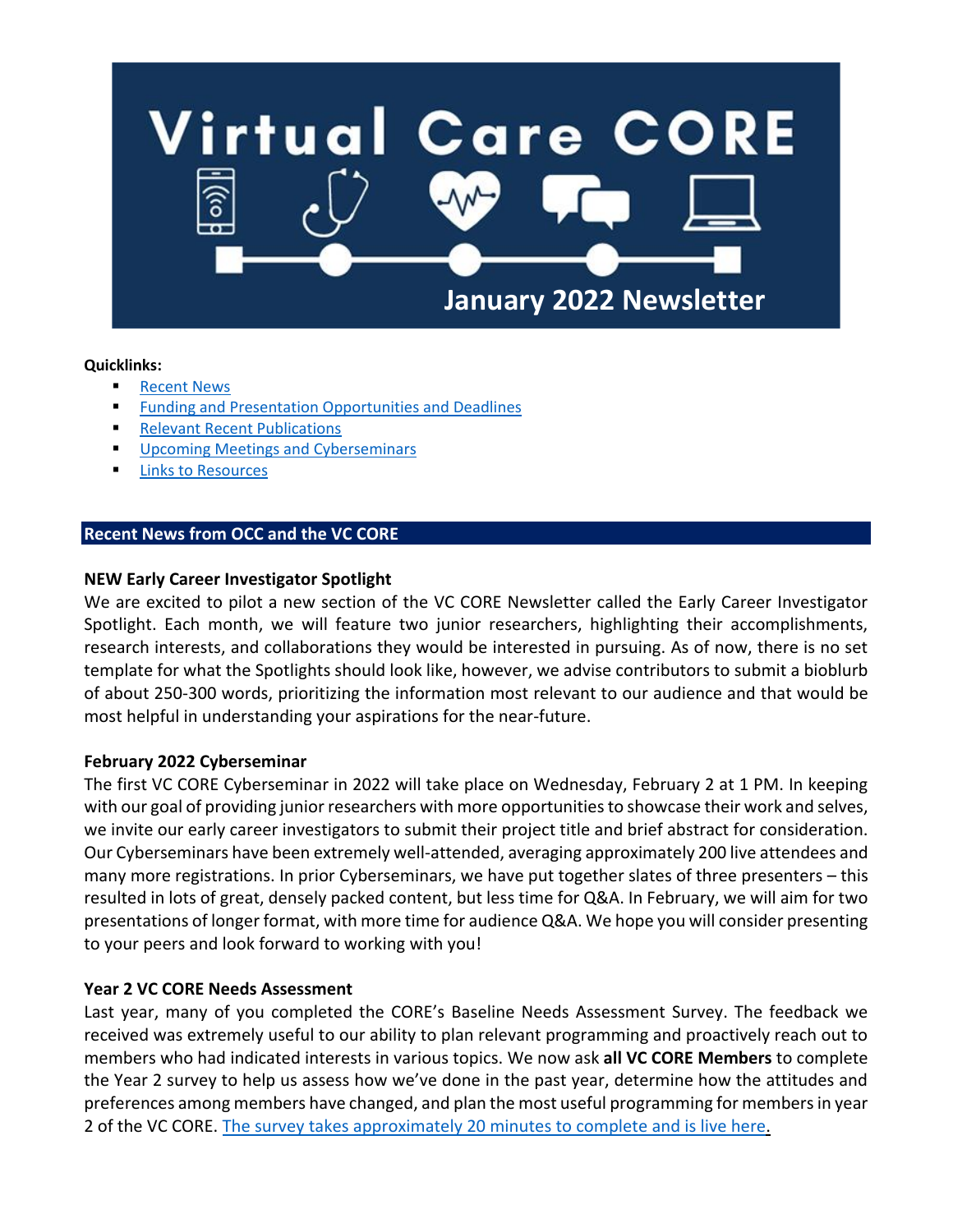

## **Quicklinks:**

- **[Recent News](#page-0-0)**
- **[Funding and Presentation Opportunities and](#page-0-1) Deadlines**
- **[Relevant Recent Publications](#page-2-0)**
- [Upcoming Meetings and Cyberseminars](#page-2-1)
- **[Links to Resources](#page-3-0)**

## <span id="page-0-0"></span>**Recent News from OCC and the VC CORE**

## **NEW Early Career Investigator Spotlight**

We are excited to pilot a new section of the VC CORE Newsletter called the Early Career Investigator Spotlight. Each month, we will feature two junior researchers, highlighting their accomplishments, research interests, and collaborations they would be interested in pursuing. As of now, there is no set template for what the Spotlights should look like, however, we advise contributors to submit a bioblurb of about 250-300 words, prioritizing the information most relevant to our audience and that would be most helpful in understanding your aspirations for the near-future.

## **February 2022 Cyberseminar**

The first VC CORE Cyberseminar in 2022 will take place on Wednesday, February 2 at 1 PM. In keeping with our goal of providing junior researchers with more opportunities to showcase their work and selves, we invite our early career investigators to submit their project title and brief abstract for consideration. Our Cyberseminars have been extremely well-attended, averaging approximately 200 live attendees and many more registrations. In prior Cyberseminars, we have put together slates of three presenters – this resulted in lots of great, densely packed content, but less time for Q&A. In February, we will aim for two presentations of longer format, with more time for audience Q&A. We hope you will consider presenting to your peers and look forward to working with you!

## **Year 2 VC CORE Needs Assessment**

<span id="page-0-1"></span>Last year, many of you completed the CORE's Baseline Needs Assessment Survey. The feedback we received was extremely useful to our ability to plan relevant programming and proactively reach out to members who had indicated interests in various topics. We now ask **all VC CORE Members** to complete the Year 2 survey to help us assess how we've done in the past year, determine how the attitudes and preferences among members have changed, and plan the most useful programming for members in year 2 of the VC CORE. [The survey takes approximately 20 minutes to complete and is live here.](https://nyumc.qualtrics.com/jfe/form/SV_8r022VHW5RT1wmG)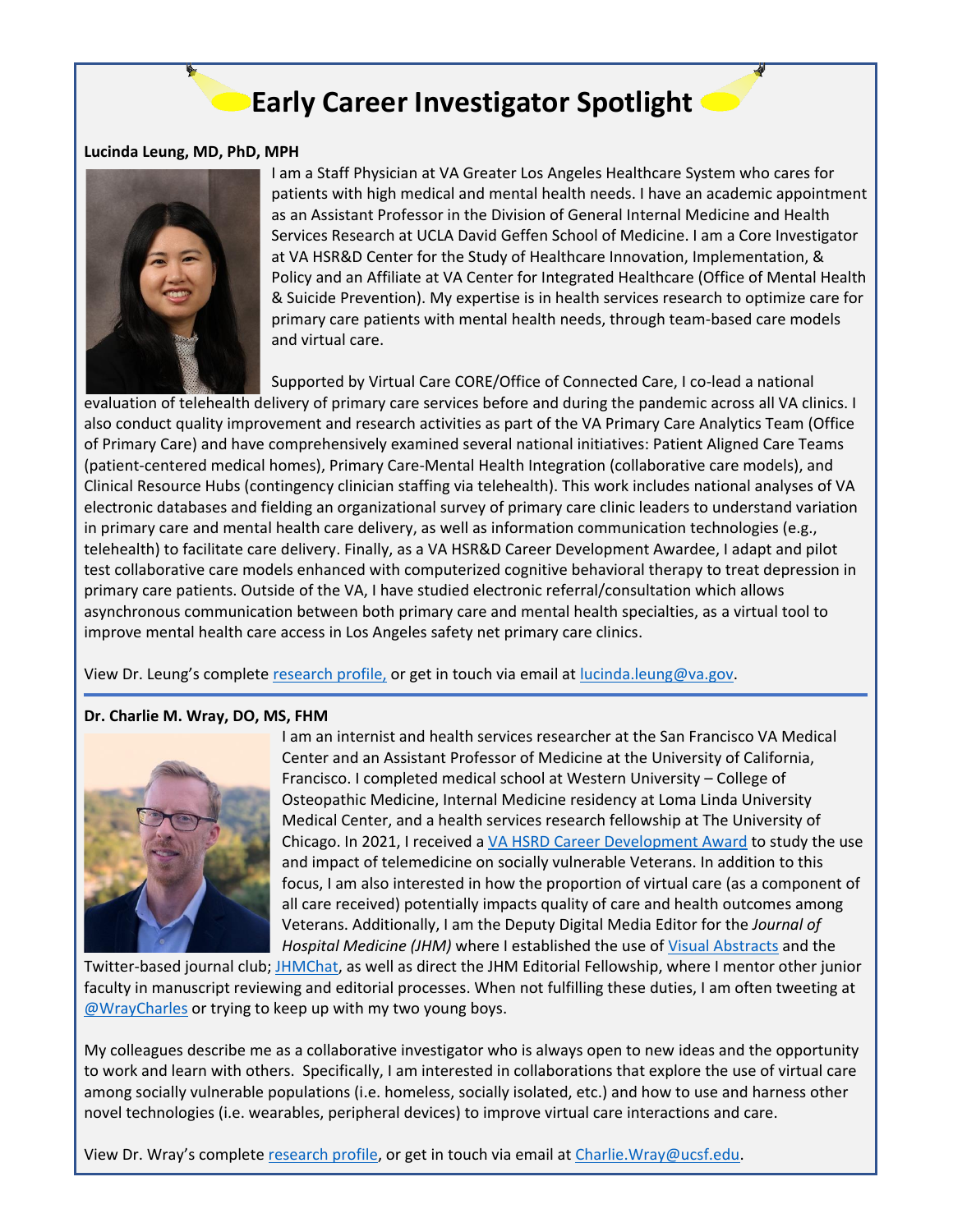# **Early Career Investigator Spotlight**

#### **Lucinda Leung, MD, PhD, MPH**



I am a Staff Physician at VA Greater Los Angeles Healthcare System who cares for patients with high medical and mental health needs. I have an academic appointment as an Assistant Professor in the Division of General Internal Medicine and Health Services Research at UCLA David Geffen School of Medicine. I am a Core Investigator at VA HSR&D Center for the Study of Healthcare Innovation, Implementation, & Policy and an Affiliate at VA Center for Integrated Healthcare (Office of Mental Health & Suicide Prevention). My expertise is in health services research to optimize care for primary care patients with mental health needs, through team-based care models and virtual care.

Supported by Virtual Care CORE/Office of Connected Care, I co-lead a national

evaluation of telehealth delivery of primary care services before and during the pandemic across all VA clinics. I also conduct quality improvement and research activities as part of the VA Primary Care Analytics Team (Office of Primary Care) and have comprehensively examined several national initiatives: Patient Aligned Care Teams (patient-centered medical homes), Primary Care-Mental Health Integration (collaborative care models), and Clinical Resource Hubs (contingency clinician staffing via telehealth). This work includes national analyses of VA electronic databases and fielding an organizational survey of primary care clinic leaders to understand variation in primary care and mental health care delivery, as well as information communication technologies (e.g., telehealth) to facilitate care delivery. Finally, as a VA HSR&D Career Development Awardee, I adapt and pilot test collaborative care models enhanced with computerized cognitive behavioral therapy to treat depression in primary care patients. Outside of the VA, I have studied electronic referral/consultation which allows asynchronous communication between both primary care and mental health specialties, as a virtual tool to improve mental health care access in Los Angeles safety net primary care clinics.

View Dr. Leung's complete [research profile,](https://people.healthsciences.ucla.edu/institution/personnel?personnel_id=9032001) or get in touch via email at [lucinda.leung@va.gov.](mailto:lucinda.leung@va.gov)

## **Dr. Charlie M. Wray, DO, MS, FHM**



I am an internist and health services researcher at the San Francisco VA Medical Center and an Assistant Professor of Medicine at the University of California, Francisco. I completed medical school at Western University – College of Osteopathic Medicine, Internal Medicine residency at Loma Linda University Medical Center, and a health services research fellowship at The University of Chicago. In 2021, I received a [VA HSRD Career Development Award](https://www.hsrd.research.va.gov/cdp/cda.cfm?Person_ID=2145959591) to study the use and impact of telemedicine on socially vulnerable Veterans. In addition to this focus, I am also interested in how the proportion of virtual care (as a component of all care received) potentially impacts quality of care and health outcomes among Veterans. Additionally, I am the Deputy Digital Media Editor for the *Journal of Hospital Medicine (JHM)* where I established the use of [Visual Abstracts](https://www.journalofhospitalmedicine.com/jhospmed/page/2021-visual-abstracts) and the

Twitter-based journal club; [JHMChat,](https://www.hospitalmedicine.org/news-publications/jhmchat/) as well as direct the JHM Editorial Fellowship, where I mentor other junior faculty in manuscript reviewing and editorial processes. When not fulfilling these duties, I am often tweeting at [@WrayCharles](https://twitter.com/WrayCharles) or trying to keep up with my two young boys.

My colleagues describe me as a collaborative investigator who is always open to new ideas and the opportunity to work and learn with others. Specifically, I am interested in collaborations that explore the use of virtual care among socially vulnerable populations (i.e. homeless, socially isolated, etc.) and how to use and harness other novel technologies (i.e. wearables, peripheral devices) to improve virtual care interactions and care.

View Dr. Wray's complete [research profile,](https://profiles.ucsf.edu/charlie.wray) or get in touch via email at [Charlie.Wray@ucsf.edu.](mailto:Charlie.Wray@ucsf.edu)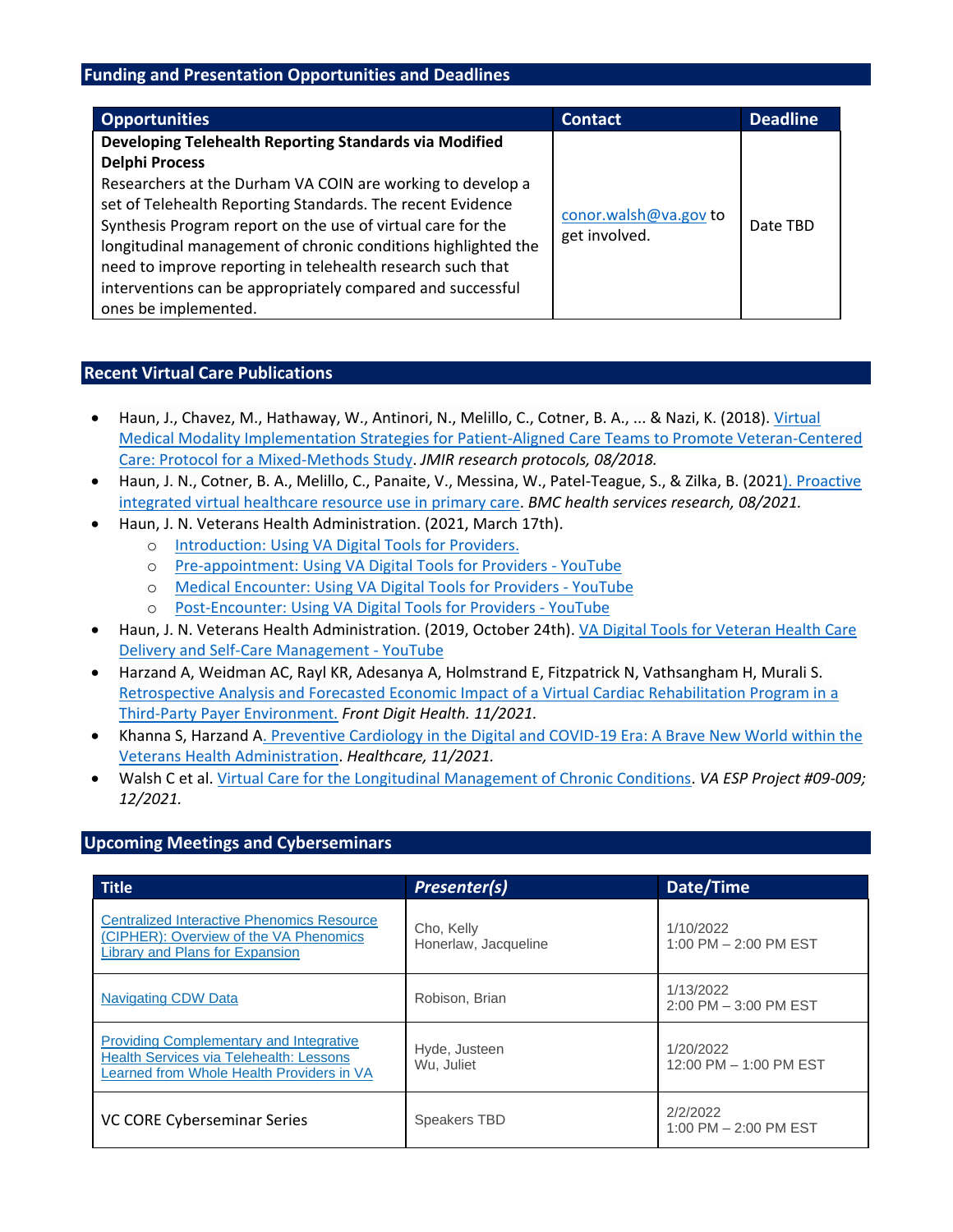## **Funding and Presentation Opportunities and Deadlines**

| <b>Opportunities</b>                                                                                                                                                                                                                                                                                                                                                                                                                                                                            | <b>Contact</b>                         | <b>Deadline</b> |
|-------------------------------------------------------------------------------------------------------------------------------------------------------------------------------------------------------------------------------------------------------------------------------------------------------------------------------------------------------------------------------------------------------------------------------------------------------------------------------------------------|----------------------------------------|-----------------|
| Developing Telehealth Reporting Standards via Modified<br><b>Delphi Process</b><br>Researchers at the Durham VA COIN are working to develop a<br>set of Telehealth Reporting Standards. The recent Evidence<br>Synthesis Program report on the use of virtual care for the<br>longitudinal management of chronic conditions highlighted the<br>need to improve reporting in telehealth research such that<br>interventions can be appropriately compared and successful<br>ones be implemented. | conor.walsh@va.gov to<br>get involved. | Date TBD        |

## <span id="page-2-0"></span>**Recent Virtual Care Publications**

- Haun, J., Chavez, M., Hathaway, W., Antinori, N., Melillo, C., Cotner, B. A., ... & Nazi, K. (2018). [Virtual](https://www.researchprotocols.org/2018/8/e11262/?utm_source=feedburner&%3Bamp%3Butm_medium=feed&%3Bamp%3Butm_campaign=Feed%3A%20ResProtoc%20%28JMIR%20Research%20Protocols%29)  [Medical Modality Implementation Strategies for Patient-Aligned Care Teams to Promote Veteran-Centered](https://www.researchprotocols.org/2018/8/e11262/?utm_source=feedburner&%3Bamp%3Butm_medium=feed&%3Bamp%3Butm_campaign=Feed%3A%20ResProtoc%20%28JMIR%20Research%20Protocols%29)  [Care: Protocol for a Mixed-Methods Study.](https://www.researchprotocols.org/2018/8/e11262/?utm_source=feedburner&%3Bamp%3Butm_medium=feed&%3Bamp%3Butm_campaign=Feed%3A%20ResProtoc%20%28JMIR%20Research%20Protocols%29) *JMIR research protocols, 08/2018.*
- Haun, J. N., Cotner, B. A., Melillo, C., Panaite, V., Messina, W., Patel-Teague, S., & Zilka, B. (202[1\). Proactive](https://link.springer.com/article/10.1186/s12913-021-06783-9)  [integrated virtual healthcare resource use in primary care.](https://link.springer.com/article/10.1186/s12913-021-06783-9) *BMC health services research, 08/2021.*
- Haun, J. N. Veterans Health Administration. (2021, March 17th).
	- o [Introduction: Using VA Digital Tools for Providers.](https://www.youtube.com/watch?app=desktop&v=8Iu6UkZ2FAA&t=8s)
	- o [Pre-appointment: Using VA Digital Tools for Providers -](https://www.youtube.com/watch?app=desktop&v=EX2WiaH8ijM&t=17s) YouTube
	- o [Medical Encounter: Using VA Digital Tools for Providers -](https://www.youtube.com/watch?app=desktop&v=Ob8SQ0oY03Y&t=15s) YouTube
	- o [Post-Encounter: Using VA Digital Tools for Providers -](https://www.youtube.com/watch?app=desktop&v=VD1-H-jBbz8&t=23s) YouTube
- Haun, J. N. Veterans Health Administration. (2019, October 24th). [VA Digital Tools for Veteran Health Care](https://www.youtube.com/watch?app=desktop&v=LyFHfki0hrM&t=774s)  [Delivery and Self-Care Management -](https://www.youtube.com/watch?app=desktop&v=LyFHfki0hrM&t=774s) YouTube
- Harzand A, Weidman AC, Rayl KR, Adesanya A, Holmstrand E, Fitzpatrick N, Vathsangham H, Murali S. [Retrospective Analysis and Forecasted Economic Impact of a Virtual Cardiac Rehabilitation Program in](https://www.frontiersin.org/articles/10.3389/fdgth.2021.678009/full) a [Third-Party Payer Environment.](https://www.frontiersin.org/articles/10.3389/fdgth.2021.678009/full) *Front Digit Health. 11/2021.*
- Khanna S, Harzand [A. Preventive Cardiology in the Digital and COVID-19 Era: A Brave New World within the](https://www.mdpi.com/2227-9032/9/12/1623/htm)  [Veterans Health Administration.](https://www.mdpi.com/2227-9032/9/12/1623/htm) *Healthcare, 11/2021.*
- Walsh C et al[. Virtual Care for the Longitudinal Management of Chronic Conditions.](http://vaww.hsrd.research.va.gov/publications/esp/virtual-care.cfm) *VA ESP Project #09-009; 12/2021.*

## <span id="page-2-1"></span>**Upcoming Meetings and Cyberseminars**

| <b>Title</b>                                                                                                                                  | <b>Presenter(s)</b>                | Date/Time                           |
|-----------------------------------------------------------------------------------------------------------------------------------------------|------------------------------------|-------------------------------------|
| <b>Centralized Interactive Phenomics Resource</b><br>(CIPHER): Overview of the VA Phenomics<br>Library and Plans for Expansion                | Cho, Kelly<br>Honerlaw, Jacqueline | 1/10/2022<br>1:00 PM - 2:00 PM EST  |
| <b>Navigating CDW Data</b>                                                                                                                    | Robison, Brian                     | 1/13/2022<br>2:00 PM - 3:00 PM EST  |
| <b>Providing Complementary and Integrative</b><br><b>Health Services via Telehealth: Lessons</b><br>Learned from Whole Health Providers in VA | Hyde, Justeen<br>Wu. Juliet        | 1/20/2022<br>12:00 PM - 1:00 PM EST |
| VC CORE Cyberseminar Series                                                                                                                   | <b>Speakers TBD</b>                | 2/2/2022<br>1:00 PM - 2:00 PM EST   |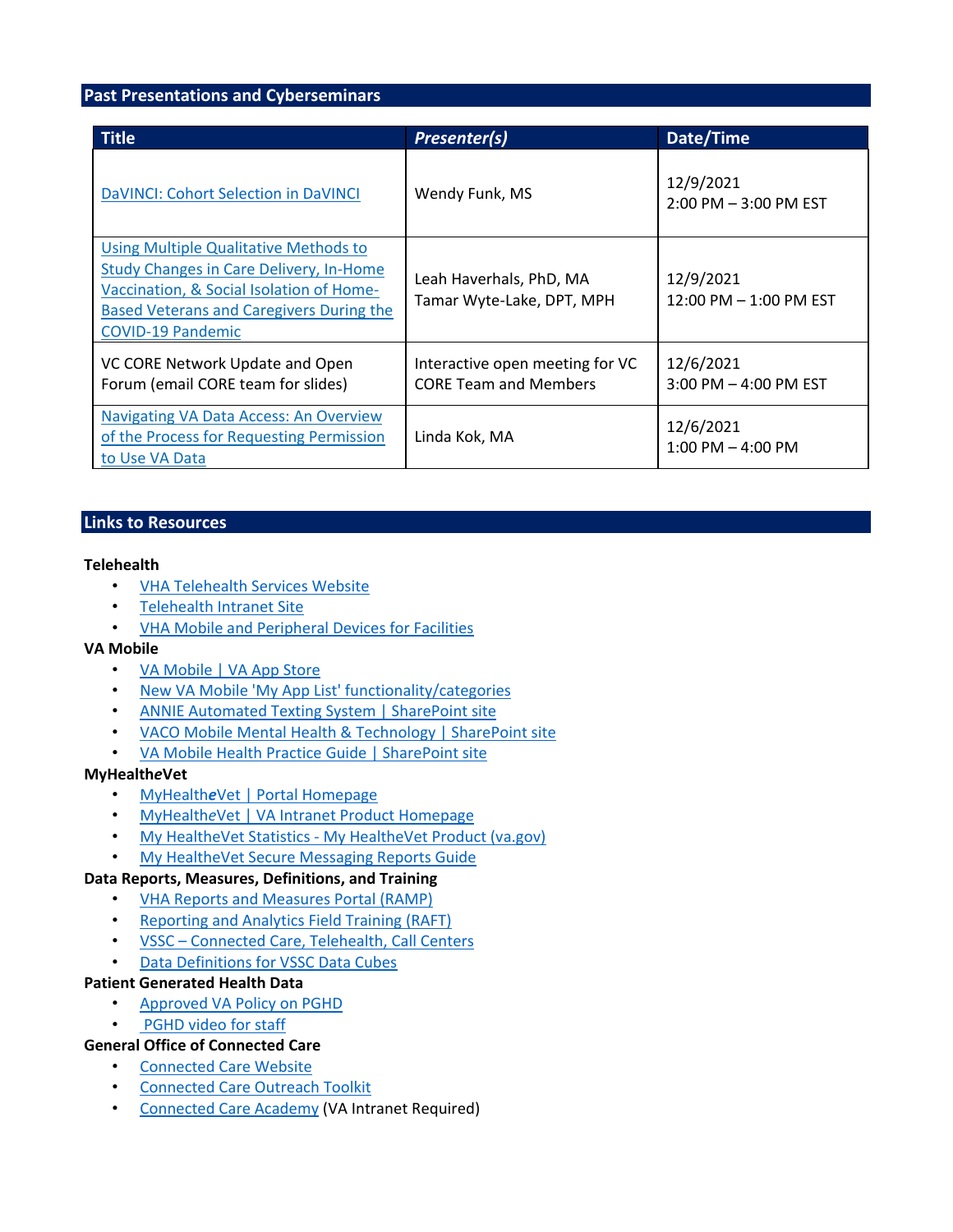## **Past Presentations and Cyberseminars**

| <b>Title</b>                                                                                                                                                                                                | <b>Presenter(s)</b>                                             | Date/Time                             |
|-------------------------------------------------------------------------------------------------------------------------------------------------------------------------------------------------------------|-----------------------------------------------------------------|---------------------------------------|
| DaVINCI: Cohort Selection in DaVINCI                                                                                                                                                                        | Wendy Funk, MS                                                  | 12/9/2021<br>$2:00$ PM $-3:00$ PM EST |
| Using Multiple Qualitative Methods to<br><b>Study Changes in Care Delivery, In-Home</b><br>Vaccination, & Social Isolation of Home-<br>Based Veterans and Caregivers During the<br><b>COVID-19 Pandemic</b> | Leah Haverhals, PhD, MA<br>Tamar Wyte-Lake, DPT, MPH            | 12/9/2021<br>12:00 PM $-$ 1:00 PM EST |
| VC CORE Network Update and Open<br>Forum (email CORE team for slides)                                                                                                                                       | Interactive open meeting for VC<br><b>CORE Team and Members</b> | 12/6/2021<br>3:00 PM - 4:00 PM EST    |
| <b>Navigating VA Data Access: An Overview</b><br>of the Process for Requesting Permission<br>to Use VA Data                                                                                                 | Linda Kok, MA                                                   | 12/6/2021<br>$1:00$ PM $-$ 4:00 PM    |

## <span id="page-3-0"></span>**Links to Resources**

#### **Telehealth**

- [VHA Telehealth Services Website](https://telehealth.va.gov/)
- [Telehealth Intranet Site](https://vaww.telehealth.va.gov/index.asp)
- [VHA Mobile and Peripheral Devices for Facilities](https://vaww.telehealth.va.gov/technology/devices/index.asp)

## **VA Mobile**

- [VA Mobile | VA App Store](https://mobile.va.gov/)
- [New VA Mobile 'My App List' functionality/categories](https://mobile.va.gov/my-app-list)
- [ANNIE Automated Texting System | SharePoint site](https://dvagov.sharepoint.com/sites/VHACCSTAFFvamobile/ANNIE/SitePages/Home.aspx)
- [VACO Mobile Mental Health & Technology | SharePoint site](https://dvagov.sharepoint.com/sites/VACOMentalHealth/mobile/Pages/home.aspx)
- [VA Mobile Health Practice Guide | SharePoint site](https://dvagov.sharepoint.com/sites/VHACCchi/coeProjectPlanDocs/VA%20Mobile%20Health%20Practice%20Guide%20(Armstrong%20et%20al.,%202021).pdf)

## **MyHealth***e***Vet**

- [MyHealth](https://www.myhealth.va.gov/mhv-portal-web/home)*[e](https://www.myhealth.va.gov/mhv-portal-web/home)*[Vet](https://www.myhealth.va.gov/mhv-portal-web/home) [| Portal Homepage](https://www.myhealth.va.gov/mhv-portal-web/home)
- [MyHealth](https://vaww.va.gov/myhealthevet/)*e*Vet [| VA Intranet Product Homepage](https://vaww.va.gov/myhealthevet/)
- My HealtheVet Statistics [My HealtheVet Product \(va.gov\)](https://gcc02.safelinks.protection.outlook.com/?url=http%3A%2F%2Fvaww.va.gov%2FMYHEALTHEVET%2Fstatistics.asp&data=04%7C01%7C%7C5635b964bd6c499774ad08d909a5d636%7Ce95f1b23abaf45ee821db7ab251ab3bf%7C0%7C0%7C637551430138293068%7CUnknown%7CTWFpbGZsb3d8eyJWIjoiMC4wLjAwMDAiLCJQIjoiV2luMzIiLCJBTiI6Ik1haWwiLCJXVCI6Mn0%3D%7C1000&sdata=%2BOuAcgI%2FGhb7rxp3Fbh5kPRImPohQpIDHG6I6B2kc90%3D&reserved=0)
- [My HealtheVet Secure Messaging Reports Guide](https://gcc02.safelinks.protection.outlook.com/?url=https%3A%2F%2Freports.vssc.med.va.gov%2FReportServer%2FPages%2FReportViewer.aspx%3F%252fSecureMessaging%252fSM_ReportsGuide%2Bwith%2Blinks%26rs%3ACommand%3DRender&data=04%7C01%7C%7C5635b964bd6c499774ad08d909a5d636%7Ce95f1b23abaf45ee821db7ab251ab3bf%7C0%7C0%7C637551430138293068%7CUnknown%7CTWFpbGZsb3d8eyJWIjoiMC4wLjAwMDAiLCJQIjoiV2luMzIiLCJBTiI6Ik1haWwiLCJXVCI6Mn0%3D%7C1000&sdata=eNYjbAXIEGRPkaLmvMmje%2FUTyHXWHJP9txWDi%2B9xTnA%3D&reserved=0)

## **Data Reports, Measures, Definitions, and Training**

- [VHA Reports and Measures Portal \(RAMP\)](https://gcc02.safelinks.protection.outlook.com/?url=http%3A%2F%2Fvaww.vhadataportal.med.va.gov%2FResources%2FRAMP.aspx&data=04%7C01%7C%7C5635b964bd6c499774ad08d909a5d636%7Ce95f1b23abaf45ee821db7ab251ab3bf%7C0%7C0%7C637551430138283113%7CUnknown%7CTWFpbGZsb3d8eyJWIjoiMC4wLjAwMDAiLCJQIjoiV2luMzIiLCJBTiI6Ik1haWwiLCJXVCI6Mn0%3D%7C1000&sdata=4tLf95%2BbB8hd8jDeEbMnVrCCmt1bzr6%2F9AUDbkt4NFI%3D&reserved=0)
- [Reporting and Analytics Field Training \(RAFT\)](https://gcc02.safelinks.protection.outlook.com/?url=http%3A%2F%2Fraft.vssc.med.va.gov%2FPages%2Fdefault.aspx&data=04%7C01%7C%7C5635b964bd6c499774ad08d909a5d636%7Ce95f1b23abaf45ee821db7ab251ab3bf%7C0%7C0%7C637551430138293068%7CUnknown%7CTWFpbGZsb3d8eyJWIjoiMC4wLjAwMDAiLCJQIjoiV2luMzIiLCJBTiI6Ik1haWwiLCJXVCI6Mn0%3D%7C1000&sdata=iT6jnViud3FRXJeLkfayYfyS8Zbmayu3IsHOmGYcNu4%3D&reserved=0)
- VSSC [Connected Care, Telehealth, Call Centers](https://vssc.med.va.gov/VSSCMainApp/products.aspx?PgmArea=57)
- [Data Definitions for VSSC Data Cubes](http://vssc.med.va.gov/webrm/vssc_linksv2.aspx?PROD_ID=1024&index=1’)))

## **Patient Generated Health Data**

- [Approved VA Policy on PGHD](https://www.va.gov/vhapublications/ViewPublication.asp?pub_ID=9252)
- [PGHD video for staff](https://www.youtube.com/watch?app=desktop&v=RNtHVOFEn90&feature=youtu.be)

## **General Office of Connected Care**

- [Connected Care Website](https://connectedcare.va.gov/)
- [Connected Care Outreach Toolkit](https://connectedcare.va.gov/terms/connected-health/single/Outreach-Toolkit)
- [Connected Care Academy](https://vaots.blackboard.com/) (VA Intranet Required)